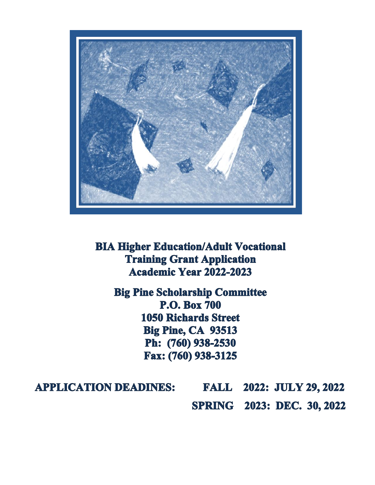

**BIA Higher Education/Adult Vocational Training Grant Application Academic Year 2022-2023** 

**Big Pine Scholarship Committee P.O. Box 700 1050 Richards Street Big Pine, CA 93513** Ph: (760) 938-2530 Fax: (760) 938-3125

**FALL 2022: JULY 29, 2022 APPLICATION DEADINES:** SPRING 2023: DEC. 30, 2022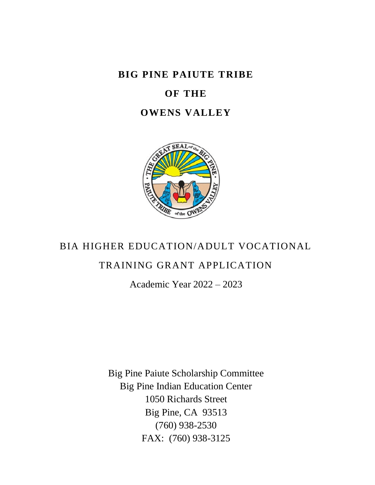**BIG PINE PAIUTE TRIBE**

# **OF THE**

# **OWENS VALLEY**



# BIA HIGHER EDUCATION/ADULT VOCATIONAL

# TRAINING GRANT APPLICATION

Academic Year 2022 – 2023

Big Pine Paiute Scholarship Committee Big Pine Indian Education Center 1050 Richards Street Big Pine, CA 93513 (760) 938-2530 FAX: (760) 938-3125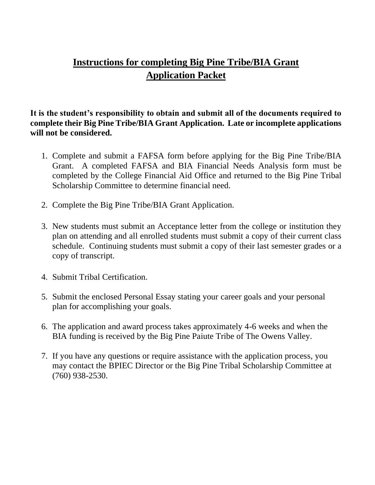# **Instructions for completing Big Pine Tribe/BIA Grant Application Packet**

**It is the student's responsibility to obtain and submit all of the documents required to complete their Big Pine Tribe/BIA Grant Application. Late or incomplete applications will not be considered.**

- 1. Complete and submit a FAFSA form before applying for the Big Pine Tribe/BIA Grant. A completed FAFSA and BIA Financial Needs Analysis form must be completed by the College Financial Aid Office and returned to the Big Pine Tribal Scholarship Committee to determine financial need.
- 2. Complete the Big Pine Tribe/BIA Grant Application.
- 3. New students must submit an Acceptance letter from the college or institution they plan on attending and all enrolled students must submit a copy of their current class schedule. Continuing students must submit a copy of their last semester grades or a copy of transcript.
- 4. Submit Tribal Certification.
- 5. Submit the enclosed Personal Essay stating your career goals and your personal plan for accomplishing your goals.
- 6. The application and award process takes approximately 4-6 weeks and when the BIA funding is received by the Big Pine Paiute Tribe of The Owens Valley.
- 7. If you have any questions or require assistance with the application process, you may contact the BPIEC Director or the Big Pine Tribal Scholarship Committee at (760) 938-2530.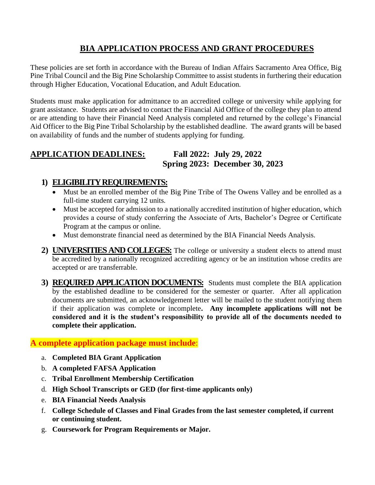# **BIA APPLICATION PROCESS AND GRANT PROCEDURES**

These policies are set forth in accordance with the Bureau of Indian Affairs Sacramento Area Office, Big Pine Tribal Council and the Big Pine Scholarship Committee to assist students in furthering their education through Higher Education, Vocational Education, and Adult Education.

Students must make application for admittance to an accredited college or university while applying for grant assistance. Students are advised to contact the Financial Aid Office of the college they plan to attend or are attending to have their Financial Need Analysis completed and returned by the college's Financial Aid Officer to the Big Pine Tribal Scholarship by the established deadline. The award grants will be based on availability of funds and the number of students applying for funding.

### **APPLICATION DEADLINES: Fall 2022: July 29, 2022**

# **Spring 2023: December 30, 2023**

#### **1) ELIGIBILITY REQUIREMENTS:**

- Must be an enrolled member of the Big Pine Tribe of The Owens Valley and be enrolled as a full-time student carrying 12 units.
- Must be accepted for admission to a nationally accredited institution of higher education, which provides a course of study conferring the Associate of Arts, Bachelor's Degree or Certificate Program at the campus or online.
- Must demonstrate financial need as determined by the BIA Financial Needs Analysis.
- **2) UNIVERSITIES AND COLLEGES:** The college or university a student elects to attend must be accredited by a nationally recognized accrediting agency or be an institution whose credits are accepted or are transferrable.
- **3) REQUIRED APPLICATION DOCUMENTS:** Students must complete the BIA application by the established deadline to be considered for the semester or quarter. After all application documents are submitted, an acknowledgement letter will be mailed to the student notifying them if their application was complete or incomplete**. Any incomplete applications will not be considered and it is the student's responsibility to provide all of the documents needed to complete their application.**

#### **A complete application package must include**:

- a. **Completed BIA Grant Application**
- b. **A completed FAFSA Application**
- c. **Tribal Enrollment Membership Certification**
- d. **High School Transcripts or GED (for first-time applicants only)**
- e. **BIA Financial Needs Analysis**
- f. **College Schedule of Classes and Final Grades from the last semester completed, if current or continuing student.**
- g. **Coursework for Program Requirements or Major.**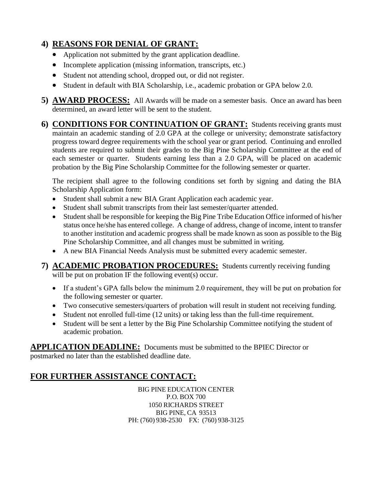# **4) REASONS FOR DENIAL OF GRANT:**

- Application not submitted by the grant application deadline.
- Incomplete application (missing information, transcripts, etc.)
- Student not attending school, dropped out, or did not register.
- Student in default with BIA Scholarship, i.e., academic probation or GPA below 2.0.
- **5) AWARD PROCESS:** All Awards will be made on a semester basis. Once an award has been determined, an award letter will be sent to the student.
- **6) CONDITIONS FOR CONTINUATION OF GRANT:** Students receiving grants must maintain an academic standing of 2.0 GPA at the college or university; demonstrate satisfactory progress toward degree requirements with the school year or grant period. Continuing and enrolled students are required to submit their grades to the Big Pine Scholarship Committee at the end of each semester or quarter. Students earning less than a 2.0 GPA, will be placed on academic probation by the Big Pine Scholarship Committee for the following semester or quarter.

The recipient shall agree to the following conditions set forth by signing and dating the BIA Scholarship Application form:

- Student shall submit a new BIA Grant Application each academic year.
- Student shall submit transcripts from their last semester/quarter attended.
- Student shall be responsible for keeping the Big Pine Tribe Education Office informed of his/her status once he/she has entered college. A change of address, change of income, intent to transfer to another institution and academic progress shall be made known as soon as possible to the Big Pine Scholarship Committee, and all changes must be submitted in writing.
- A new BIA Financial Needs Analysis must be submitted every academic semester.
- **7) ACADEMIC PROBATION PROCEDURES:** Students currently receiving funding will be put on probation IF the following event(s) occur.
	- If a student's GPA falls below the minimum 2.0 requirement, they will be put on probation for the following semester or quarter.
	- Two consecutive semesters/quarters of probation will result in student not receiving funding.
	- Student not enrolled full-time (12 units) or taking less than the full-time requirement.
	- Student will be sent a letter by the Big Pine Scholarship Committee notifying the student of academic probation.

**APPLICATION DEADLINE:** Documents must be submitted to the BPIEC Director or postmarked no later than the established deadline date.

# **FOR FURTHER ASSISTANCE CONTACT:**

BIG PINE EDUCATION CENTER P.O. BOX 700 1050 RICHARDS STREET BIG PINE, CA 93513 PH: (760) 938-2530 FX: (760) 938-3125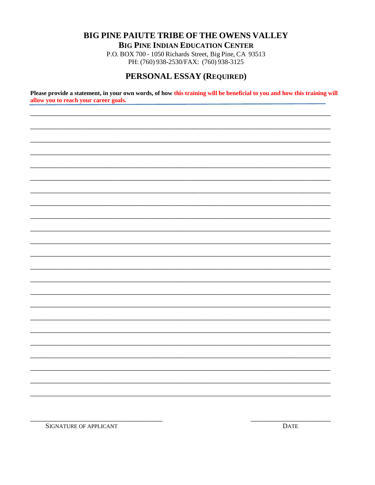**BIG PINE INDIAN EDUCATION CENTER** 

P.O. BOX 700 - 1050 Richards Street, Big Pine, CA 93513 PH: (760) 938-2530/FAX: (760) 938-3125

# PERSONAL ESSAY (REQUIRED)

Please provide a statement, in your own words, of how this training will be beneficial to you and how this training will allow you to reach your career goals.

SIGNATURE OF APPLICANT

**DATE**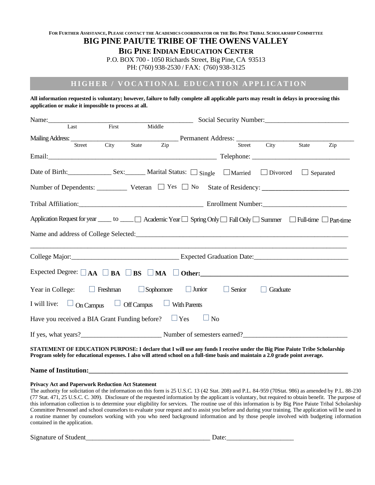#### FOR FURTHER ASSISTANCE, PLEASE CONTACT THE ACADEMICS COORDINATOR OR THE BIG PINE TRIBAL SCHOLARSHIP COMMITTEE **BIG PINE PAIUTE TRIBE OF THE OWENS VALLEY**

#### **BIG PINE INDIAN EDUCATION CENTER**

P.O. BOX 700 - 1050 Richards Street, Big Pine, CA 93513 PH: (760) 938-2530 / FAX: (760) 938-3125

#### **HIGHER / VOCATIONAL EDUCATION APPLICATION**

**All information requested is voluntary; however, failure to fully complete all applicable parts may result in delays in processing this application or make it impossible to process at all.**

| Name:        |                                                          |                                    |                  |                     |               |        |                                                                                                                                                                                                                                                              |  |           |
|--------------|----------------------------------------------------------|------------------------------------|------------------|---------------------|---------------|--------|--------------------------------------------------------------------------------------------------------------------------------------------------------------------------------------------------------------------------------------------------------------|--|-----------|
|              | Last                                                     | First                              | Middle           |                     |               |        |                                                                                                                                                                                                                                                              |  |           |
|              |                                                          |                                    |                  |                     |               |        | Mailing Address: <u>Conta City</u> Permanent Address: Street City State                                                                                                                                                                                      |  |           |
|              |                                                          |                                    |                  |                     |               |        |                                                                                                                                                                                                                                                              |  | Zip       |
|              |                                                          |                                    |                  |                     |               |        |                                                                                                                                                                                                                                                              |  |           |
|              |                                                          |                                    |                  |                     |               |        | Date of Birth: Sex: Sex: Marital Status: □ Single □ Married □ Divorced                                                                                                                                                                                       |  | Separated |
|              |                                                          |                                    |                  |                     |               |        | Number of Dependents: _____________ Veteran □ Yes □ No State of Residency: ________________________                                                                                                                                                          |  |           |
|              |                                                          |                                    |                  |                     |               |        |                                                                                                                                                                                                                                                              |  |           |
|              |                                                          |                                    |                  |                     |               |        | Application Request for year _____ to ____□ Academic Year □ Spring Only □ Fall Only □ Summer □ Full-time □ Part-time                                                                                                                                         |  |           |
|              |                                                          |                                    |                  |                     |               |        |                                                                                                                                                                                                                                                              |  |           |
|              |                                                          |                                    |                  |                     |               |        |                                                                                                                                                                                                                                                              |  |           |
|              |                                                          |                                    |                  |                     |               |        | Expected Degree: $\Box$ AA $\Box$ BA $\Box$ BS $\Box$ MA $\Box$ Other:                                                                                                                                                                                       |  |           |
|              | Year in College: $\Box$ Freshman                         |                                    | $\Box$ Sophomore |                     | $\Box$ Junior | Senior | Graduate                                                                                                                                                                                                                                                     |  |           |
| I will live: |                                                          | On Campus $\Box$ Off Campus $\Box$ |                  | <b>With Parents</b> |               |        |                                                                                                                                                                                                                                                              |  |           |
|              | Have you received a BIA Grant Funding before? $\Box$ Yes |                                    |                  |                     | $\Box$ No     |        |                                                                                                                                                                                                                                                              |  |           |
|              |                                                          |                                    |                  |                     |               |        |                                                                                                                                                                                                                                                              |  |           |
|              |                                                          |                                    |                  |                     |               |        | STATEMENT OF EDUCATION PURPOSE: I declare that I will use any funds I receive under the Big Pine Paiute Tribe Scholarship<br>Program solely for educational expenses. I also will attend school on a full-time basis and maintain a 2.0 grade point average. |  |           |
|              |                                                          |                                    |                  |                     |               |        |                                                                                                                                                                                                                                                              |  |           |

#### **Privacy Act and Paperwork Reduction Act Statement**

The authority for solicitation of the information on this form is 25 U.S.C. 13 (42 Stat. 208) and P.L. 84-959 (70Stat. 986) as amended by P.L. 88-230 (77 Stat. 471, 25 U.S.C. C. 309). Disclosure of the requested information by the applicant is voluntary, but required to obtain benefit. The purpose of this information collection is to determine your eligibility for services. The routine use of this information is by Big Pine Paiute Tribal Scholarship Committee Personnel and school counselors to evaluate your request and to assist you before and during your training. The application will be used in a routine manner by counselors working with you who need background information and by those people involved with budgeting information contained in the application.

Signature of Student\_\_\_\_\_\_\_\_\_\_\_\_\_\_\_\_\_\_\_\_\_\_\_\_\_\_\_\_\_\_\_\_\_\_\_\_\_ Date:\_\_\_\_\_\_\_\_\_\_\_\_\_\_\_\_\_\_\_\_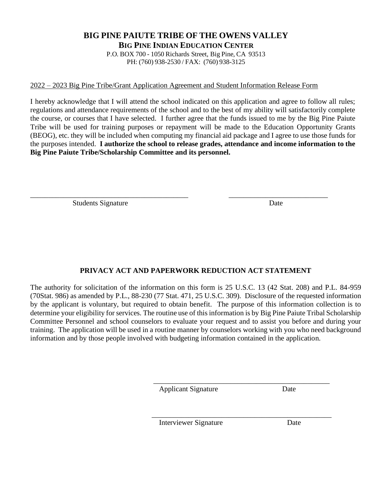#### **BIG PINE PAIUTE TRIBE OF THE OWENS VALLEY BIG PINE INDIAN EDUCATION CENTER**

P.O. BOX 700 - 1050 Richards Street, Big Pine, CA 93513 PH: (760) 938-2530 / FAX: (760) 938-3125

#### 2022 – 2023 Big Pine Tribe/Grant Application Agreement and Student Information Release Form

\_\_\_\_\_\_\_\_\_\_\_\_\_\_\_\_\_\_\_\_\_\_\_\_\_\_\_\_\_\_\_\_\_\_\_\_\_\_\_\_\_\_\_ \_\_\_\_\_\_\_\_\_\_\_\_\_\_\_\_\_\_\_\_\_\_\_\_\_\_\_

I hereby acknowledge that I will attend the school indicated on this application and agree to follow all rules; regulations and attendance requirements of the school and to the best of my ability will satisfactorily complete the course, or courses that I have selected. I further agree that the funds issued to me by the Big Pine Paiute Tribe will be used for training purposes or repayment will be made to the Education Opportunity Grants (BEOG), etc. they will be included when computing my financial aid package and I agree to use those funds for the purposes intended. **I authorize the school to release grades, attendance and income information to the Big Pine Paiute Tribe/Scholarship Committee and its personnel.**

Students Signature Date

#### **PRIVACY ACT AND PAPERWORK REDUCTION ACT STATEMENT**

The authority for solicitation of the information on this form is 25 U.S.C. 13 (42 Stat. 208) and P.L. 84-959 (70Stat. 986) as amended by P.L., 88-230 (77 Stat. 471, 25 U.S.C. 309). Disclosure of the requested information by the applicant is voluntary, but required to obtain benefit. The purpose of this information collection is to determine your eligibility for services. The routine use of this information is by Big Pine Paiute Tribal Scholarship Committee Personnel and school counselors to evaluate your request and to assist you before and during your training. The application will be used in a routine manner by counselors working with you who need background information and by those people involved with budgeting information contained in the application.

Applicant Signature Date

 $\overline{\phantom{a}}$  , and the contract of the contract of the contract of the contract of the contract of the contract of the contract of the contract of the contract of the contract of the contract of the contract of the contrac

\_\_\_\_\_\_\_\_\_\_\_\_\_\_\_\_\_\_\_\_\_\_\_\_\_\_\_\_\_\_\_\_\_\_\_\_\_\_\_\_\_\_\_\_\_\_\_\_\_

Interviewer Signature Date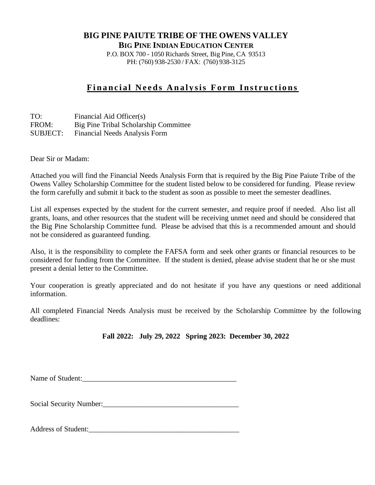**BIG PINE INDIAN EDUCATION CENTER**

P.O. BOX 700 - 1050 Richards Street, Big Pine, CA 93513 PH: (760) 938-2530 / FAX: (760) 938-3125

### **Financial Needs Analysis Form Instructions**

TO: Financial Aid Officer(s) FROM: Big Pine Tribal Scholarship Committee SUBJECT: Financial Needs Analysis Form

Dear Sir or Madam:

Attached you will find the Financial Needs Analysis Form that is required by the Big Pine Paiute Tribe of the Owens Valley Scholarship Committee for the student listed below to be considered for funding. Please review the form carefully and submit it back to the student as soon as possible to meet the semester deadlines.

List all expenses expected by the student for the current semester, and require proof if needed. Also list all grants, loans, and other resources that the student will be receiving unmet need and should be considered that the Big Pine Scholarship Committee fund. Please be advised that this is a recommended amount and should not be considered as guaranteed funding.

Also, it is the responsibility to complete the FAFSA form and seek other grants or financial resources to be considered for funding from the Committee. If the student is denied, please advise student that he or she must present a denial letter to the Committee.

Your cooperation is greatly appreciated and do not hesitate if you have any questions or need additional information.

All completed Financial Needs Analysis must be received by the Scholarship Committee by the following deadlines:

**Fall 2022: July 29, 2022 Spring 2023: December 30, 2022**

Name of Student:

Social Security Number:

Address of Student: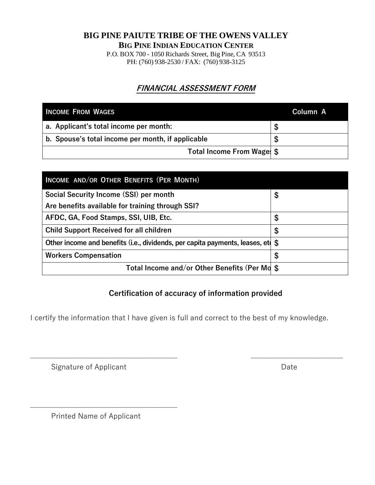**BIG PINE INDIAN EDUCATION CENTER**

P.O. BOX 700 - 1050 Richards Street, Big Pine, CA 93513 PH: (760) 938-2530 / FAX: (760) 938-3125

## **FINANCIAL ASSESSMENT FORM**

| <b>INCOME FROM WAGES</b>                          | Column A |
|---------------------------------------------------|----------|
| a. Applicant's total income per month:            |          |
| b. Spouse's total income per month, if applicable |          |
| Total Income From Wage! \$                        |          |

| INCOME AND/OR OTHER BENEFITS (PER MONTH)                                    |    |
|-----------------------------------------------------------------------------|----|
| Social Security Income (SSI) per month                                      | \$ |
| Are benefits available for training through SSI?                            |    |
| AFDC, GA, Food Stamps, SSI, UIB, Etc.                                       | S  |
| <b>Child Support Received for all children</b>                              | \$ |
| Other income and benefits (i.e., dividends, per capita payments, leases, et |    |
| <b>Workers Compensation</b>                                                 | \$ |
| Total Income and/or Other Benefits (Per Md \$                               |    |

#### **Certification of accuracy of information provided**

I certify the information that I have given is full and correct to the best of my knowledge.

 $\_$  , and the set of the set of the set of the set of the set of the set of the set of the set of the set of the set of the set of the set of the set of the set of the set of the set of the set of the set of the set of th

Signature of Applicant Date Date Date

Printed Name of Applicant

\_\_\_\_\_\_\_\_\_\_\_\_\_\_\_\_\_\_\_\_\_\_\_\_\_\_\_\_\_\_\_\_\_\_\_\_\_\_\_\_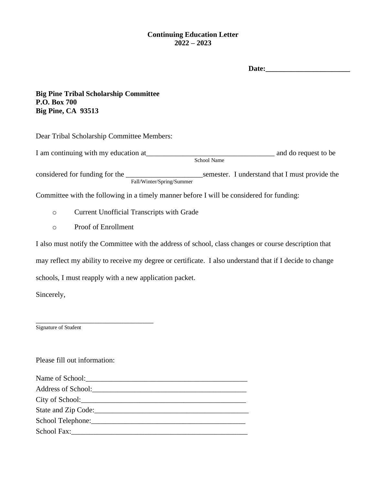#### **Continuing Education Letter 2022 – 2023**

**Big Pine Tribal Scholarship Committee P.O. Box 700 Big Pine, CA 93513**

Dear Tribal Scholarship Committee Members:

I am continuing with my education at and do request to be and do request to be School Name

considered for funding for the semester. I understand that I must provide the Fall/Winter/Spring/Summer

Committee with the following in a timely manner before I will be considered for funding:

o Current Unofficial Transcripts with Grade

o Proof of Enrollment

I also must notify the Committee with the address of school, class changes or course description that may reflect my ability to receive my degree or certificate. I also understand that if I decide to change schools, I must reapply with a new application packet.

Sincerely,

\_\_\_\_\_\_\_\_\_\_\_\_\_\_\_\_\_\_\_\_\_\_\_\_\_\_\_\_\_\_\_\_ Signature of Student

Please fill out information:

| Address of School: New York Changes and School:          |
|----------------------------------------------------------|
|                                                          |
| State and Zip Code:                                      |
| School Telephone: New York Changes and School Telephone: |
|                                                          |